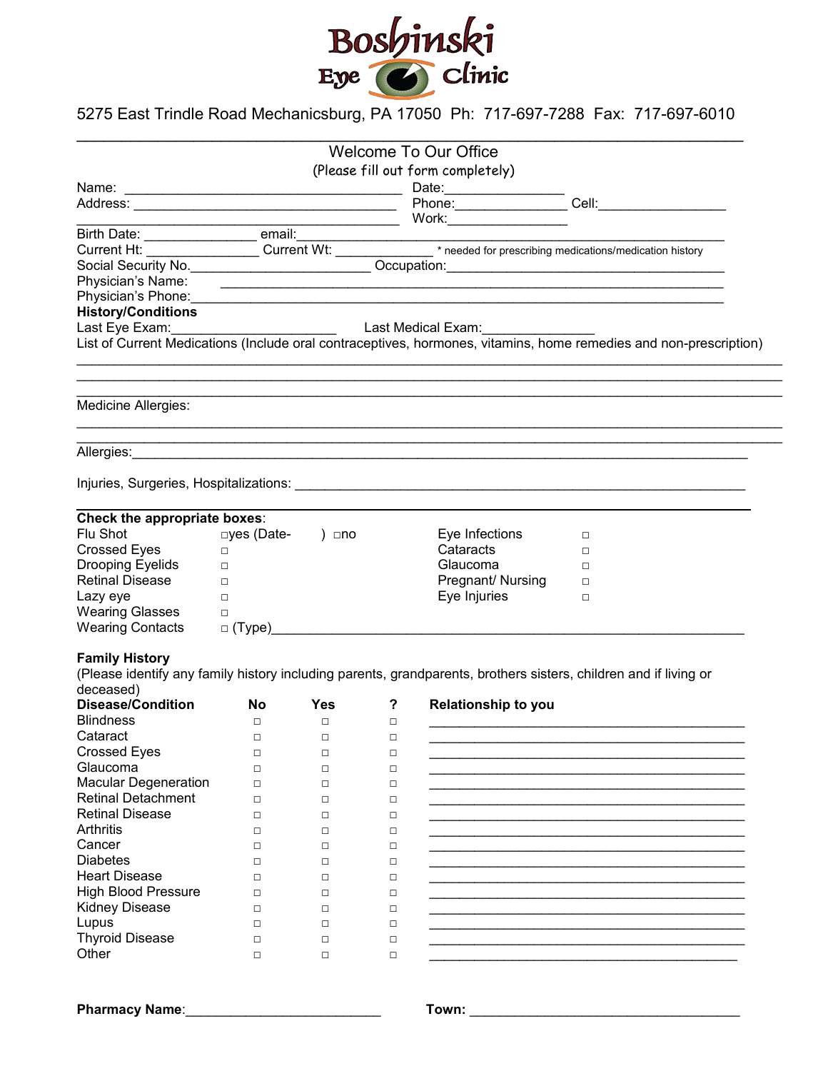

## 5275 East Trindle Road Mechanicsburg, PA 17050 Ph: 717-697-7288 Fax: 717-697-6010

|                                                                                                                                                                                                                                                                                                                                                                                                                   |                    |                  |                  | <b>Welcome To Our Office</b>      |                                                                                                                   |
|-------------------------------------------------------------------------------------------------------------------------------------------------------------------------------------------------------------------------------------------------------------------------------------------------------------------------------------------------------------------------------------------------------------------|--------------------|------------------|------------------|-----------------------------------|-------------------------------------------------------------------------------------------------------------------|
|                                                                                                                                                                                                                                                                                                                                                                                                                   |                    |                  |                  |                                   |                                                                                                                   |
|                                                                                                                                                                                                                                                                                                                                                                                                                   |                    |                  |                  | (Please fill out form completely) |                                                                                                                   |
|                                                                                                                                                                                                                                                                                                                                                                                                                   |                    |                  |                  |                                   |                                                                                                                   |
|                                                                                                                                                                                                                                                                                                                                                                                                                   |                    |                  |                  |                                   |                                                                                                                   |
|                                                                                                                                                                                                                                                                                                                                                                                                                   |                    |                  |                  |                                   |                                                                                                                   |
|                                                                                                                                                                                                                                                                                                                                                                                                                   |                    |                  |                  |                                   |                                                                                                                   |
|                                                                                                                                                                                                                                                                                                                                                                                                                   |                    |                  |                  |                                   |                                                                                                                   |
|                                                                                                                                                                                                                                                                                                                                                                                                                   |                    |                  |                  |                                   |                                                                                                                   |
|                                                                                                                                                                                                                                                                                                                                                                                                                   |                    |                  |                  |                                   |                                                                                                                   |
| Physician's Phone: 2008 - 2009 - 2009 - 2010 - 2010 - 2010 - 2010 - 2010 - 2010 - 2010 - 2010 - 2010 - 2010 - 2010 - 2010 - 2010 - 2010 - 2010 - 2010 - 2010 - 2010 - 2010 - 2010 - 2010 - 2010 - 2010 - 2010 - 2010 - 2010 -                                                                                                                                                                                     |                    |                  |                  |                                   |                                                                                                                   |
| <b>History/Conditions</b>                                                                                                                                                                                                                                                                                                                                                                                         | Last Medical Exam: |                  |                  |                                   |                                                                                                                   |
| Last Eye Exam:                                                                                                                                                                                                                                                                                                                                                                                                    |                    |                  |                  |                                   |                                                                                                                   |
|                                                                                                                                                                                                                                                                                                                                                                                                                   |                    |                  |                  |                                   | List of Current Medications (Include oral contraceptives, hormones, vitamins, home remedies and non-prescription) |
|                                                                                                                                                                                                                                                                                                                                                                                                                   |                    |                  |                  |                                   |                                                                                                                   |
| Medicine Allergies:                                                                                                                                                                                                                                                                                                                                                                                               |                    |                  |                  |                                   |                                                                                                                   |
| Allergies: <u>Allergies:</u>                                                                                                                                                                                                                                                                                                                                                                                      |                    |                  |                  |                                   |                                                                                                                   |
|                                                                                                                                                                                                                                                                                                                                                                                                                   |                    |                  |                  |                                   |                                                                                                                   |
|                                                                                                                                                                                                                                                                                                                                                                                                                   |                    |                  |                  |                                   |                                                                                                                   |
| Check the appropriate boxes:                                                                                                                                                                                                                                                                                                                                                                                      |                    |                  |                  |                                   |                                                                                                                   |
| Flu Shot                                                                                                                                                                                                                                                                                                                                                                                                          | □yes (Date-        | ) ⊡no            |                  | Eye Infections                    | $\Box$                                                                                                            |
| <b>Crossed Eyes</b>                                                                                                                                                                                                                                                                                                                                                                                               | $\Box$             |                  |                  | Cataracts                         | $\Box$                                                                                                            |
| Drooping Eyelids                                                                                                                                                                                                                                                                                                                                                                                                  | $\Box$             |                  |                  | Glaucoma                          | $\Box$                                                                                                            |
| <b>Retinal Disease</b>                                                                                                                                                                                                                                                                                                                                                                                            | $\Box$             |                  |                  | Pregnant/ Nursing                 | $\Box$                                                                                                            |
|                                                                                                                                                                                                                                                                                                                                                                                                                   |                    |                  |                  |                                   |                                                                                                                   |
|                                                                                                                                                                                                                                                                                                                                                                                                                   | $\Box$             |                  |                  | Eye Injuries                      | □                                                                                                                 |
|                                                                                                                                                                                                                                                                                                                                                                                                                   | $\Box$             |                  |                  |                                   |                                                                                                                   |
|                                                                                                                                                                                                                                                                                                                                                                                                                   |                    |                  |                  |                                   |                                                                                                                   |
|                                                                                                                                                                                                                                                                                                                                                                                                                   |                    |                  |                  |                                   |                                                                                                                   |
|                                                                                                                                                                                                                                                                                                                                                                                                                   |                    |                  |                  |                                   | (Please identify any family history including parents, grandparents, brothers sisters, children and if living or  |
|                                                                                                                                                                                                                                                                                                                                                                                                                   |                    |                  |                  |                                   |                                                                                                                   |
|                                                                                                                                                                                                                                                                                                                                                                                                                   | <b>No</b>          | <b>Yes</b>       | ?                | Relationship to you               |                                                                                                                   |
|                                                                                                                                                                                                                                                                                                                                                                                                                   | $\Box$             | $\Box$           | $\Box$           |                                   |                                                                                                                   |
|                                                                                                                                                                                                                                                                                                                                                                                                                   | $\Box$             | □                | $\Box$           |                                   |                                                                                                                   |
|                                                                                                                                                                                                                                                                                                                                                                                                                   | $\Box$             | $\Box$           | $\Box$           |                                   |                                                                                                                   |
|                                                                                                                                                                                                                                                                                                                                                                                                                   | $\Box$             | $\Box$           | $\Box$           |                                   |                                                                                                                   |
|                                                                                                                                                                                                                                                                                                                                                                                                                   | $\Box$             | $\Box$           | $\Box$           |                                   |                                                                                                                   |
|                                                                                                                                                                                                                                                                                                                                                                                                                   | $\Box$             | $\Box$           | □                |                                   |                                                                                                                   |
|                                                                                                                                                                                                                                                                                                                                                                                                                   | $\Box$             | $\Box$           | □                |                                   |                                                                                                                   |
|                                                                                                                                                                                                                                                                                                                                                                                                                   | $\Box$             | $\Box$           | $\Box$           |                                   |                                                                                                                   |
|                                                                                                                                                                                                                                                                                                                                                                                                                   | □                  | $\Box$           | □                |                                   |                                                                                                                   |
|                                                                                                                                                                                                                                                                                                                                                                                                                   | □                  | $\Box$           | □                |                                   |                                                                                                                   |
|                                                                                                                                                                                                                                                                                                                                                                                                                   | $\Box$             | $\Box$           | $\Box$           |                                   |                                                                                                                   |
|                                                                                                                                                                                                                                                                                                                                                                                                                   | $\Box$             | $\Box$           | □                |                                   |                                                                                                                   |
|                                                                                                                                                                                                                                                                                                                                                                                                                   | □                  | $\Box$           | □                |                                   |                                                                                                                   |
| Lazy eye<br><b>Wearing Glasses</b><br><b>Wearing Contacts</b><br><b>Family History</b><br>deceased)<br><b>Disease/Condition</b><br><b>Blindness</b><br>Cataract<br><b>Crossed Eyes</b><br>Glaucoma<br><b>Macular Degeneration</b><br><b>Retinal Detachment</b><br><b>Retinal Disease</b><br>Arthritis<br>Cancer<br><b>Diabetes</b><br><b>Heart Disease</b><br><b>High Blood Pressure</b><br><b>Kidney Disease</b> |                    |                  |                  |                                   |                                                                                                                   |
| Lupus<br><b>Thyroid Disease</b>                                                                                                                                                                                                                                                                                                                                                                                   | $\Box$<br>$\Box$   | $\Box$<br>$\Box$ | $\Box$<br>$\Box$ |                                   |                                                                                                                   |

**Pharmacy Name**:\_\_\_\_\_\_\_\_\_\_\_\_\_\_\_\_\_\_\_\_\_\_\_\_\_\_ **Town:** \_\_\_\_\_\_\_\_\_\_\_\_\_\_\_\_\_\_\_\_\_\_\_\_\_\_\_\_\_\_\_\_\_\_\_\_